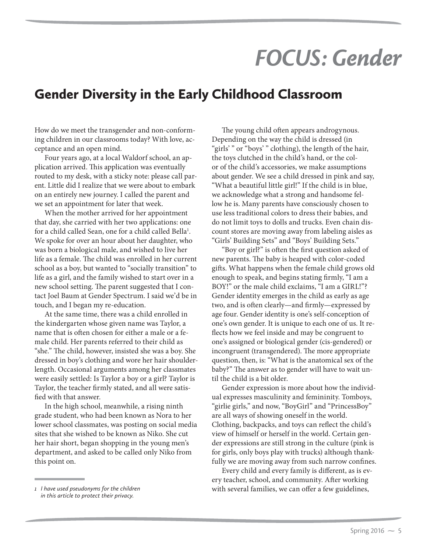## *FOCUS: Gender*

## Gender Diversity in the Early Childhood Classroom

How do we meet the transgender and non-conforming children in our classrooms today? With love, acceptance and an open mind.

Four years ago, at a local Waldorf school, an application arrived. This application was eventually routed to my desk, with a sticky note: please call parent. Little did I realize that we were about to embark on an entirely new journey. I called the parent and we set an appointment for later that week.

When the mother arrived for her appointment that day, she carried with her two applications: one for a child called Sean, one for a child called Bella<sup>1</sup>. We spoke for over an hour about her daughter, who was born a biological male, and wished to live her life as a female. The child was enrolled in her current school as a boy, but wanted to "socially transition" to life as a girl, and the family wished to start over in a new school setting. The parent suggested that I contact Joel Baum at Gender Spectrum. I said we'd be in touch, and I began my re-education.

At the same time, there was a child enrolled in the kindergarten whose given name was Taylor, a name that is often chosen for either a male or a female child. Her parents referred to their child as "she." The child, however, insisted she was a boy. She dressed in boy's clothing and wore her hair shoulderlength. Occasional arguments among her classmates were easily settled: Is Taylor a boy or a girl? Taylor is Taylor, the teacher firmly stated, and all were satisfied with that answer.

In the high school, meanwhile, a rising ninth grade student, who had been known as Nora to her lower school classmates, was posting on social media sites that she wished to be known as Niko. She cut her hair short, began shopping in the young men's department, and asked to be called only Niko from this point on.

The young child often appears androgynous. Depending on the way the child is dressed (in "girls' " or "boys' " clothing), the length of the hair, the toys clutched in the child's hand, or the color of the child's accessories, we make assumptions about gender. We see a child dressed in pink and say, "What a beautiful little girl!" If the child is in blue, we acknowledge what a strong and handsome fellow he is. Many parents have consciously chosen to use less traditional colors to dress their babies, and do not limit toys to dolls and trucks. Even chain discount stores are moving away from labeling aisles as "Girls' Building Sets" and "Boys' Building Sets."

"Boy or girl?" is often the first question asked of new parents. The baby is heaped with color-coded gifts. What happens when the female child grows old enough to speak, and begins stating firmly, "I am a BOY!" or the male child exclaims, "I am a GIRL!"? Gender identity emerges in the child as early as age two, and is often clearly—and firmly—expressed by age four. Gender identity is one's self-conception of one's own gender. It is unique to each one of us. It reflects how we feel inside and may be congruent to one's assigned or biological gender (cis-gendered) or incongruent (transgendered). The more appropriate question, then, is: "What is the anatomical sex of the baby?" The answer as to gender will have to wait until the child is a bit older.

Gender expression is more about how the individual expresses masculinity and femininity. Tomboys, "girlie girls," and now, "BoyGirl" and "PrincessBoy" are all ways of showing oneself in the world. Clothing, backpacks, and toys can reflect the child's view of himself or herself in the world. Certain gender expressions are still strong in the culture (pink is for girls, only boys play with trucks) although thankfully we are moving away from such narrow confines.

Every child and every family is different, as is every teacher, school, and community. After working with several families, we can offer a few guidelines,

*<sup>1</sup> I have used pseudonyms for the children in this article to protect their privacy.*